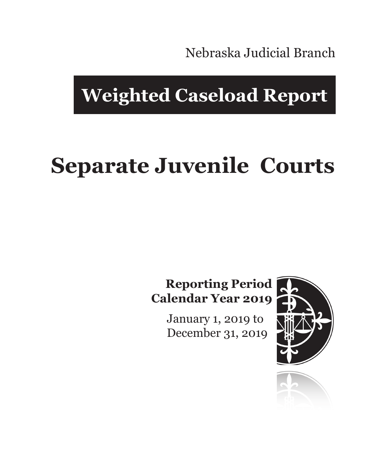Nebraska Judicial Branch

## **Weighted Caseload Report**

# **Separate Juvenile Courts**

#### **Reporting Period Calendar Year 2019**

January 1, 2019 to December 31, 2019



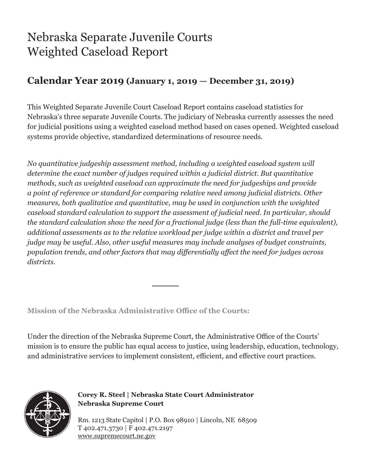### Nebraska Separate Juvenile Courts Weighted Caseload Report

#### **Calendar Year 2019 (January 1, 2019 — December 31, 2019)**

This Weighted Separate Juvenile Court Caseload Report contains caseload statistics for Nebraska's three separate Juvenile Courts. The judiciary of Nebraska currently assesses the need for judicial positions using a weighted caseload method based on cases opened. Weighted caseload systems provide objective, standardized determinations of resource needs.

*No quantitative judgeship assessment method, including a weighted caseload system will determine the exact number of judges required within a judicial district. But quantitative methods, such as weighted caseload can approximate the need for judgeships and provide a point of reference or standard for comparing relative need among judicial districts. Other measures, both qualitative and quantitative, may be used in conjunction with the weighted caseload standard calculation to support the assessment of judicial need. In particular, should the standard calculation show the need for a fractional judge (less than the full-time equivalent), additional assessments as to the relative workload per judge within a district and travel per judge may be useful. Also, other useful measures may include analyses of budget constraints, population trends, and other factors that may differentially affect the need for judges across districts.*

**Mission of the Nebraska Administrative Office of the Courts:**

Under the direction of the Nebraska Supreme Court, the Administrative Office of the Courts' mission is to ensure the public has equal access to justice, using leadership, education, technology, and administrative services to implement consistent, efficient, and effective court practices.



**Corey R. Steel | Nebraska State Court Administrator Nebraska Supreme Court**

Rm. 1213 State Capitol | P.O. Box 98910 | Lincoln, NE 68509 T 402.471.3730 | F 402.471.2197 www.supremecourt.ne.gov